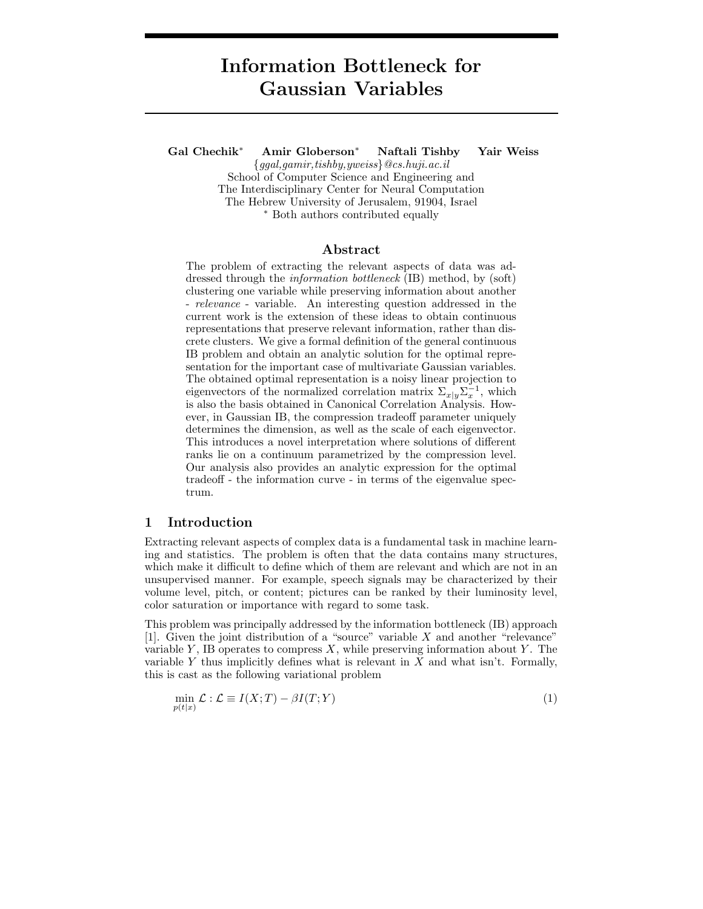# Information Bottleneck for Gaussian Variables

Gal Chechik<sup>∗</sup> Amir Globerson<sup>∗</sup> Naftali Tishby Yair Weiss

{ggal,gamir,tishby,yweiss}@cs.huji.ac.il School of Computer Science and Engineering and The Interdisciplinary Center for Neural Computation The Hebrew University of Jerusalem, 91904, Israel <sup>∗</sup> Both authors contributed equally

#### Abstract

The problem of extracting the relevant aspects of data was addressed through the information bottleneck (IB) method, by (soft) clustering one variable while preserving information about another - relevance - variable. An interesting question addressed in the current work is the extension of these ideas to obtain continuous representations that preserve relevant information, rather than discrete clusters. We give a formal definition of the general continuous IB problem and obtain an analytic solution for the optimal representation for the important case of multivariate Gaussian variables. The obtained optimal representation is a noisy linear projection to eigenvectors of the normalized correlation matrix  $\Sigma_{x|y} \Sigma_x^{-1}$ , which is also the basis obtained in Canonical Correlation Analysis. However, in Gaussian IB, the compression tradeoff parameter uniquely determines the dimension, as well as the scale of each eigenvector. This introduces a novel interpretation where solutions of different ranks lie on a continuum parametrized by the compression level. Our analysis also provides an analytic expression for the optimal tradeoff - the information curve - in terms of the eigenvalue spectrum.

#### 1 Introduction

Extracting relevant aspects of complex data is a fundamental task in machine learning and statistics. The problem is often that the data contains many structures, which make it difficult to define which of them are relevant and which are not in an unsupervised manner. For example, speech signals may be characterized by their volume level, pitch, or content; pictures can be ranked by their luminosity level, color saturation or importance with regard to some task.

This problem was principally addressed by the information bottleneck (IB) approach [1]. Given the joint distribution of a "source" variable  $X$  and another "relevance" variable  $Y$ , IB operates to compress  $X$ , while preserving information about  $Y$ . The variable Y thus implicitly defines what is relevant in  $X$  and what isn't. Formally, this is cast as the following variational problem

$$
\min_{p(t|x)} \mathcal{L} : \mathcal{L} \equiv I(X;T) - \beta I(T;Y) \tag{1}
$$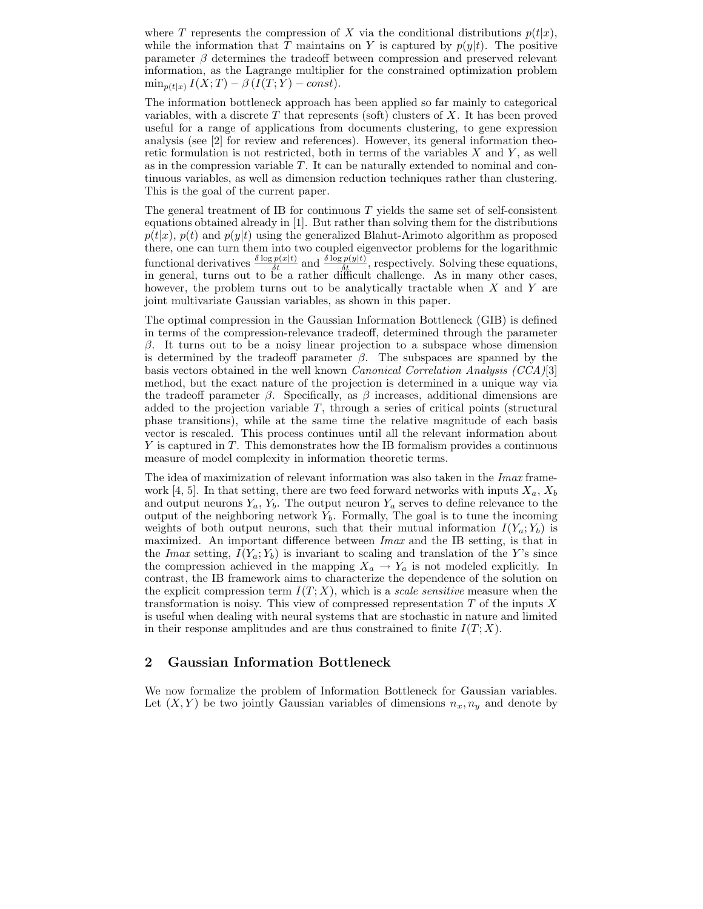where T represents the compression of X via the conditional distributions  $p(t|x)$ , while the information that  $\overline{T}$  maintains on Y is captured by  $p(y|t)$ . The positive parameter  $\beta$  determines the tradeoff between compression and preserved relevant information, as the Lagrange multiplier for the constrained optimization problem  $\min_{p(t|x)} I(X;T) - \beta (I(T;Y) - const).$ 

The information bottleneck approach has been applied so far mainly to categorical variables, with a discrete  $T$  that represents (soft) clusters of  $X$ . It has been proved useful for a range of applications from documents clustering, to gene expression analysis (see [2] for review and references). However, its general information theoretic formulation is not restricted, both in terms of the variables  $X$  and  $Y$ , as well as in the compression variable T. It can be naturally extended to nominal and continuous variables, as well as dimension reduction techniques rather than clustering. This is the goal of the current paper.

The general treatment of IB for continuous  $T$  yields the same set of self-consistent equations obtained already in [1]. But rather than solving them for the distributions  $p(t|x)$ ,  $p(t)$  and  $p(y|t)$  using the generalized Blahut-Arimoto algorithm as proposed there, one can turn them into two coupled eigenvector problems for the logarithmic functional derivatives  $\frac{\delta \log p(x|t)}{\delta t}$  and  $\frac{\delta \log p(y|t)}{\delta t}$ , respectively. Solving these equations, in general, turns out to be a rather difficult challenge. As in many other cases, however, the problem turns out to be analytically tractable when  $X$  and  $Y$  are joint multivariate Gaussian variables, as shown in this paper.

The optimal compression in the Gaussian Information Bottleneck (GIB) is defined in terms of the compression-relevance tradeoff, determined through the parameter β. It turns out to be a noisy linear projection to a subspace whose dimension is determined by the tradeoff parameter  $\beta$ . The subspaces are spanned by the basis vectors obtained in the well known *Canonical Correlation Analysis*  $(CCA)[3]$ method, but the exact nature of the projection is determined in a unique way via the tradeoff parameter  $\beta$ . Specifically, as  $\beta$  increases, additional dimensions are added to the projection variable T, through a series of critical points (structural phase transitions), while at the same time the relative magnitude of each basis vector is rescaled. This process continues until all the relevant information about Y is captured in T. This demonstrates how the IB formalism provides a continuous measure of model complexity in information theoretic terms.

The idea of maximization of relevant information was also taken in the *Imax* framework [4, 5]. In that setting, there are two feed forward networks with inputs  $X_a$ ,  $X_b$ and output neurons  $Y_a, Y_b$ . The output neuron  $Y_a$  serves to define relevance to the output of the neighboring network  $Y_b$ . Formally, The goal is to tune the incoming weights of both output neurons, such that their mutual information  $I(Y_a; Y_b)$  is maximized. An important difference between Imax and the IB setting, is that in the Imax setting,  $I(Y_a; Y_b)$  is invariant to scaling and translation of the Y's since the compression achieved in the mapping  $X_a \to Y_a$  is not modeled explicitly. In contrast, the IB framework aims to characterize the dependence of the solution on the explicit compression term  $I(T; X)$ , which is a scale sensitive measure when the transformation is noisy. This view of compressed representation  $T$  of the inputs  $X$ is useful when dealing with neural systems that are stochastic in nature and limited in their response amplitudes and are thus constrained to finite  $I(T; X)$ .

## 2 Gaussian Information Bottleneck

We now formalize the problem of Information Bottleneck for Gaussian variables. Let  $(X, Y)$  be two jointly Gaussian variables of dimensions  $n_x, n_y$  and denote by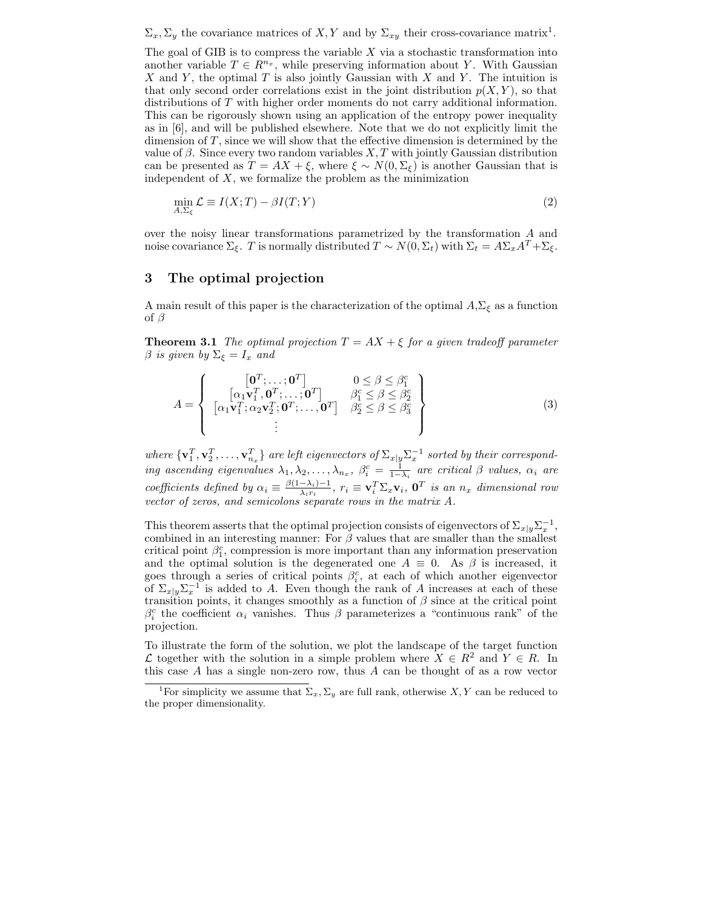$\Sigma_x, \Sigma_y$  the covariance matrices of X, Y and by  $\Sigma_{xy}$  their cross-covariance matrix<sup>1</sup>.

The goal of GIB is to compress the variable  $X$  via a stochastic transformation into another variable  $T \in R^{n_x}$ , while preserving information about Y. With Gaussian X and Y, the optimal T is also jointly Gaussian with X and Y. The intuition is that only second order correlations exist in the joint distribution  $p(X, Y)$ , so that distributions of T with higher order moments do not carry additional information. This can be rigorously shown using an application of the entropy power inequality as in [6], and will be published elsewhere. Note that we do not explicitly limit the dimension of T, since we will show that the effective dimension is determined by the value of  $\beta$ . Since every two random variables X, T with jointly Gaussian distribution can be presented as  $T = AX + \xi$ , where  $\xi \sim N(0, \Sigma_{\xi})$  is another Gaussian that is independent of  $X$ , we formalize the problem as the minimization

$$
\min_{A,\Sigma_{\xi}} \mathcal{L} \equiv I(X;T) - \beta I(T;Y) \tag{2}
$$

over the noisy linear transformations parametrized by the transformation A and noise covariance  $\Sigma_{\xi}$ . T is normally distributed  $T \sim N(0, \Sigma_t)$  with  $\Sigma_t = A\Sigma_x A^T + \Sigma_{\xi}$ .

### 3 The optimal projection

A main result of this paper is the characterization of the optimal  $A, \Sigma_{\xi}$  as a function of  $\beta$ 

**Theorem 3.1** The optimal projection  $T = AX + \xi$  for a given tradeoff parameter  $\beta$  is given by  $\Sigma_{\xi} = I_x$  and

$$
A = \left\{ \begin{array}{ccc} \left[\mathbf{0}^T; \dots; \mathbf{0}^T\right] & 0 \le \beta \le \beta_1^c\\ \left[\alpha_1 \mathbf{v}_1^T, \mathbf{0}^T; \dots; \mathbf{0}^T\right] & \beta_1^c \le \beta \le \beta_2^c\\ \left[\alpha_1 \mathbf{v}_1^T; \alpha_2 \mathbf{v}_2^T; \mathbf{0}^T; \dots, \mathbf{0}^T\right] & \beta_2^c \le \beta \le \beta_3^c\\ \vdots \end{array} \right\} \tag{3}
$$

where  $\{{\bf v}^T_1,{\bf v}^T_2,\ldots,{\bf v}^T_{n_x}\}$  are left eigenvectors of  $\Sigma_{x|y}\Sigma_x^{-1}$  sorted by their corresponding ascending eigenvalues  $\lambda_1, \lambda_2, \ldots, \lambda_{n_x}, \beta_i^c = \frac{1}{1-\lambda_i}$  are critical  $\beta$  values,  $\alpha_i$  are coefficients defined by  $\alpha_i \equiv \frac{\beta(1-\lambda_i)-1}{\lambda_i r_i}$  $\frac{-\lambda_i - 1}{\lambda_i r_i}, r_i \equiv \mathbf{v}_i^T \Sigma_x \mathbf{v}_i, \mathbf{0}^T$  is an  $n_x$  dimensional row vector of zeros, and semicolons separate rows in the matrix A.

This theorem asserts that the optimal projection consists of eigenvectors of  $\Sigma_{x|y} \Sigma_x^{-1}$ , combined in an interesting manner: For  $\beta$  values that are smaller than the smallest critical point  $\beta_1^c$ , compression is more important than any information preservation and the optimal solution is the degenerated one  $A \equiv 0$ . As  $\beta$  is increased, it goes through a series of critical points  $\beta_i^c$ , at each of which another eigenvector of  $\Sigma_{x|y}\Sigma_x^{-1}$  is added to A. Even though the rank of A increases at each of these transition points, it changes smoothly as a function of  $\beta$  since at the critical point  $\beta_i^c$  the coefficient  $\alpha_i$  vanishes. Thus  $\beta$  parameterizes a "continuous rank" of the projection.

To illustrate the form of the solution, we plot the landscape of the target function L together with the solution in a simple problem where  $X \in R^2$  and  $Y \in R$ . In this case A has a single non-zero row, thus A can be thought of as a row vector

<sup>&</sup>lt;sup>1</sup>For simplicity we assume that  $\Sigma_x$ ,  $\Sigma_y$  are full rank, otherwise X, Y can be reduced to the proper dimensionality.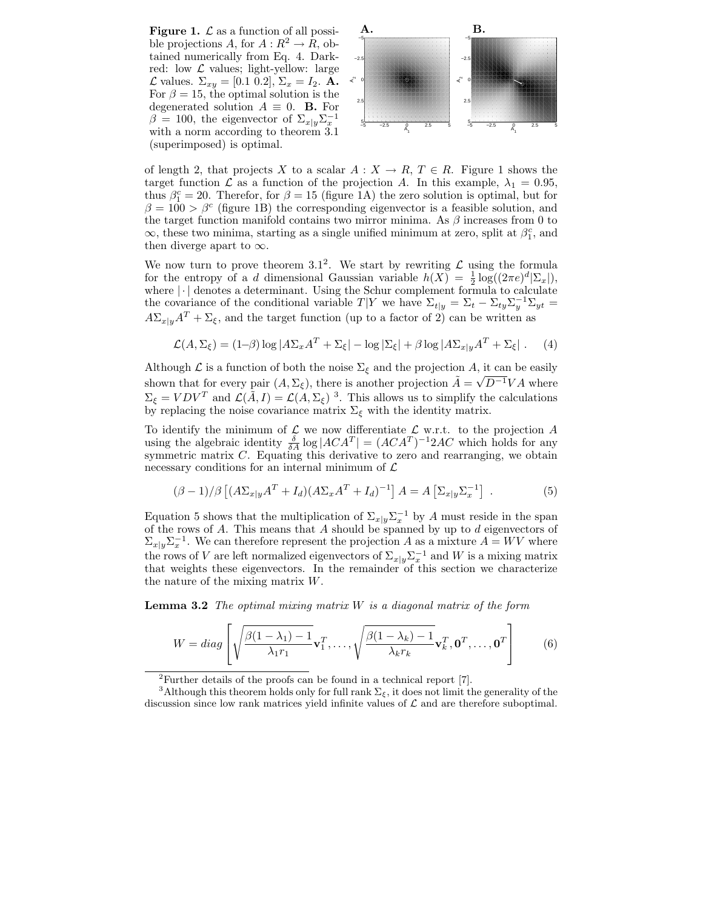**Figure 1.**  $\mathcal{L}$  as a function of all possi-  $\mathbf{A}$ .  $\mathbf{B}$ . ble projections A, for  $A: \mathbb{R}^2 \to \mathbb{R}$ , obtained numerically from Eq. 4. Darkred: low  $\mathcal L$  values; light-yellow: large  $\mathcal{L}$  values.  $\Sigma_{xy} = [0.1 \ 0.2], \Sigma_x = I_2$ . **A.** For  $\beta = 15$ , the optimal solution is the degenerated solution  $A \equiv 0$ . **B.** For β = 100, the eigenvector of  $\Sigma_{x|y} \Sigma_x^{-1}$ with a norm according to theorem 3.1 (superimposed) is optimal.



of length 2, that projects X to a scalar  $A: X \to R$ ,  $T \in R$ . Figure 1 shows the target function  $\mathcal L$  as a function of the projection A. In this example,  $\lambda_1 = 0.95$ , thus  $\beta_1^c = 20$ . Therefor, for  $\beta = 15$  (figure 1A) the zero solution is optimal, but for  $\beta = 100 > \beta^c$  (figure 1B) the corresponding eigenvector is a feasible solution, and the target function manifold contains two mirror minima. As  $\beta$  increases from 0 to  $\infty$ , these two minima, starting as a single unified minimum at zero, split at  $\beta_1^c$ , and then diverge apart to  $\infty$ .

We now turn to prove theorem 3.1<sup>2</sup>. We start by rewriting  $\mathcal{L}$  using the formula for the entropy of a d dimensional Gaussian variable  $h(X) = \frac{1}{2} \log((2\pi e)^d |\Sigma_x|),$ where  $|\cdot|$  denotes a determinant. Using the Schur complement formula to calculate the covariance of the conditional variable  $T|Y$  we have  $\Sigma_{t|y} = \Sigma_t - \Sigma_{ty}\Sigma_y^{-1}\Sigma_{yt} =$  $A\Sigma_{x|y}A^T + \Sigma_{\xi}$ , and the target function (up to a factor of 2) can be written as

$$
\mathcal{L}(A, \Sigma_{\xi}) = (1-\beta) \log |A\Sigma_x A^T + \Sigma_{\xi}| - \log |\Sigma_{\xi}| + \beta \log |A\Sigma_{x|y} A^T + \Sigma_{\xi}|.
$$
 (4)

Although  $\mathcal L$  is a function of both the noise  $\Sigma_{\mathcal E}$  and the projection A, it can be easily shown that for every pair  $(A, \Sigma_{\xi})$ , there is another projection  $\tilde{A} = \sqrt{D^{-1}}V A$  where  $\Sigma_{\xi} = VDV^T$  and  $\mathcal{L}(\tilde{A}, I) = \mathcal{L}(A, \Sigma_{\xi})^3$ . This allows us to simplify the calculations by replacing the noise covariance matrix  $\Sigma_{\xi}$  with the identity matrix.

To identify the minimum of  $\mathcal{L}$  we now differentiate  $\mathcal{L}$  w.r.t. to the projection A using the algebraic identity  $\frac{\delta}{\delta A} \log |ACA^T| = (ACA^T)^{-1} 2AC$  which holds for any symmetric matrix  $C$ . Equating this derivative to zero and rearranging, we obtain necessary conditions for an internal minimum of  $\mathcal L$ 

$$
(\beta - 1)/\beta \left[ (A\Sigma_{x|y}A^T + I_d)(A\Sigma_x A^T + I_d)^{-1} \right] A = A \left[ \Sigma_{x|y} \Sigma_x^{-1} \right] . \tag{5}
$$

Equation 5 shows that the multiplication of  $\Sigma_{x|y} \Sigma_x^{-1}$  by A must reside in the span of the rows of  $A$ . This means that  $A$  should be spanned by up to  $d$  eigenvectors of  $\Sigma_{x|y} \Sigma_x^{-1}$ . We can therefore represent the projection A as a mixture  $A = WV$  where the rows of V are left normalized eigenvectors of  $\Sigma_{x|y} \Sigma_x^{-1}$  and W is a mixing matrix that weights these eigenvectors. In the remainder of this section we characterize the nature of the mixing matrix W.

**Lemma 3.2** The optimal mixing matrix  $W$  is a diagonal matrix of the form

$$
W = diag\left[\sqrt{\frac{\beta(1-\lambda_1)-1}{\lambda_1r_1}}\mathbf{v}_1^T,\dots,\sqrt{\frac{\beta(1-\lambda_k)-1}{\lambda_kr_k}}\mathbf{v}_k^T,\mathbf{0}^T,\dots,\mathbf{0}^T\right]
$$
(6)

<sup>&</sup>lt;sup>2</sup>Further details of the proofs can be found in a technical report  $[7]$ .

<sup>&</sup>lt;sup>3</sup>Although this theorem holds only for full rank  $\Sigma_{\xi}$ , it does not limit the generality of the discussion since low rank matrices yield infinite values of  $\mathcal L$  and are therefore suboptimal.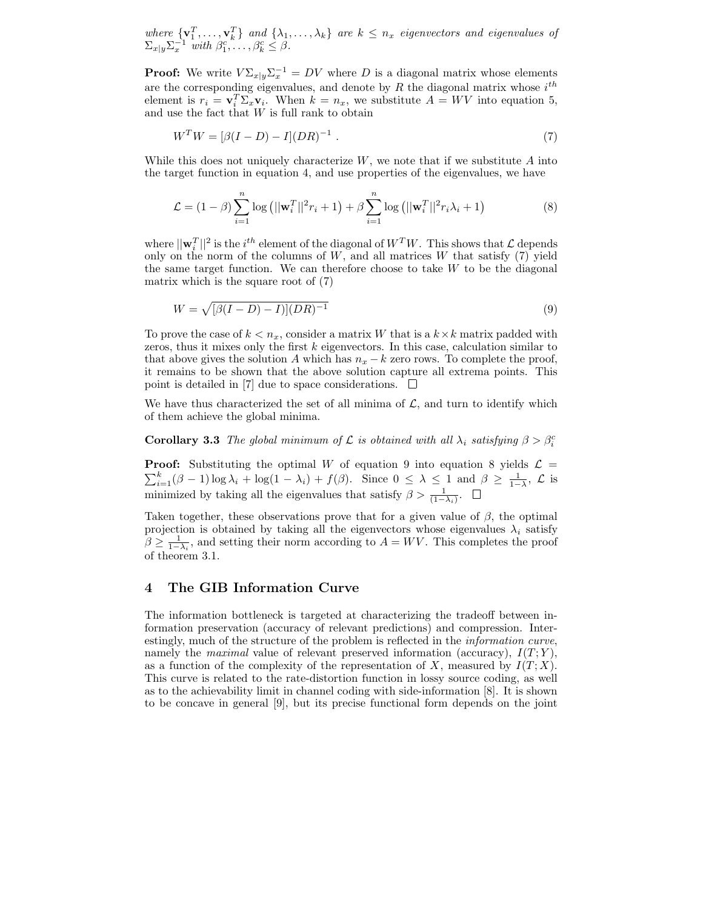where  $\{v_1^T, \ldots, v_k^T\}$  and  $\{\lambda_1, \ldots, \lambda_k\}$  are  $k \leq n_x$  eigenvectors and eigenvalues of  $\Sigma_{x|y} \Sigma_x^{-1}$  with  $\beta_1^c, \ldots, \beta_k^c \leq \beta$ .

**Proof:** We write  $V\Sigma_{x|y}\Sigma_x^{-1} = DV$  where D is a diagonal matrix whose elements are the corresponding eigenvalues, and denote by R the diagonal matrix whose  $i^{th}$ element is  $r_i = \mathbf{v}_i^T \Sigma_x \mathbf{v}_i$ . When  $k = n_x$ , we substitute  $A = W V$  into equation 5, and use the fact that  $W$  is full rank to obtain

$$
WTW = [\beta(I - D) - I](DR)^{-1} . \tag{7}
$$

While this does not uniquely characterize  $W$ , we note that if we substitute  $A$  into the target function in equation 4, and use properties of the eigenvalues, we have

$$
\mathcal{L} = (1 - \beta) \sum_{i=1}^{n} \log (||\mathbf{w}_{i}^{T}||^{2} r_{i} + 1) + \beta \sum_{i=1}^{n} \log (||\mathbf{w}_{i}^{T}||^{2} r_{i} \lambda_{i} + 1)
$$
(8)

where  $||\mathbf{w}_i^T||^2$  is the  $i^{th}$  element of the diagonal of  $W^T W$ . This shows that  $\mathcal{L}$  depends only on the norm of the columns of  $W$ , and all matrices  $W$  that satisfy  $(7)$  yield the same target function. We can therefore choose to take  $W$  to be the diagonal matrix which is the square root of (7)

$$
W = \sqrt{[\beta(I - D) - I][DR)^{-1}} \tag{9}
$$

To prove the case of  $k < n_x$ , consider a matrix W that is a  $k \times k$  matrix padded with zeros, thus it mixes only the first  $k$  eigenvectors. In this case, calculation similar to that above gives the solution A which has  $n_x - k$  zero rows. To complete the proof, it remains to be shown that the above solution capture all extrema points. This point is detailed in [7] due to space considerations.  $\Box$ 

We have thus characterized the set of all minima of  $\mathcal{L}$ , and turn to identify which of them achieve the global minima.

**Corollary 3.3** The global minimum of  $\mathcal{L}$  is obtained with all  $\lambda_i$  satisfying  $\beta > \beta_i^c$ 

**Proof:** Substituting the optimal W of equation 9 into equation 8 yields  $\mathcal{L} = \sum_{i=1}^{k} (\beta - 1) \log \lambda_i + \log(1 - \lambda_i) + f(\beta)$ . Since  $0 \leq \lambda \leq 1$  and  $\beta \geq \frac{1}{1-\lambda}$ ,  $\mathcal{L}$  is minimized by taking all the eigenvalues that satisfy  $\beta > \frac{1}{(1-\lambda_i)}$ .

Taken together, these observations prove that for a given value of  $\beta$ , the optimal projection is obtained by taking all the eigenvectors whose eigenvalues  $\lambda_i$  satisfy  $\beta \geq \frac{1}{1-\lambda_i}$ , and setting their norm according to  $A = WV$ . This completes the proof of theorem 3.1.

#### 4 The GIB Information Curve

The information bottleneck is targeted at characterizing the tradeoff between information preservation (accuracy of relevant predictions) and compression. Interestingly, much of the structure of the problem is reflected in the information curve, namely the *maximal* value of relevant preserved information (accuracy),  $I(T; Y)$ , as a function of the complexity of the representation of X, measured by  $I(T; X)$ . This curve is related to the rate-distortion function in lossy source coding, as well as to the achievability limit in channel coding with side-information [8]. It is shown to be concave in general [9], but its precise functional form depends on the joint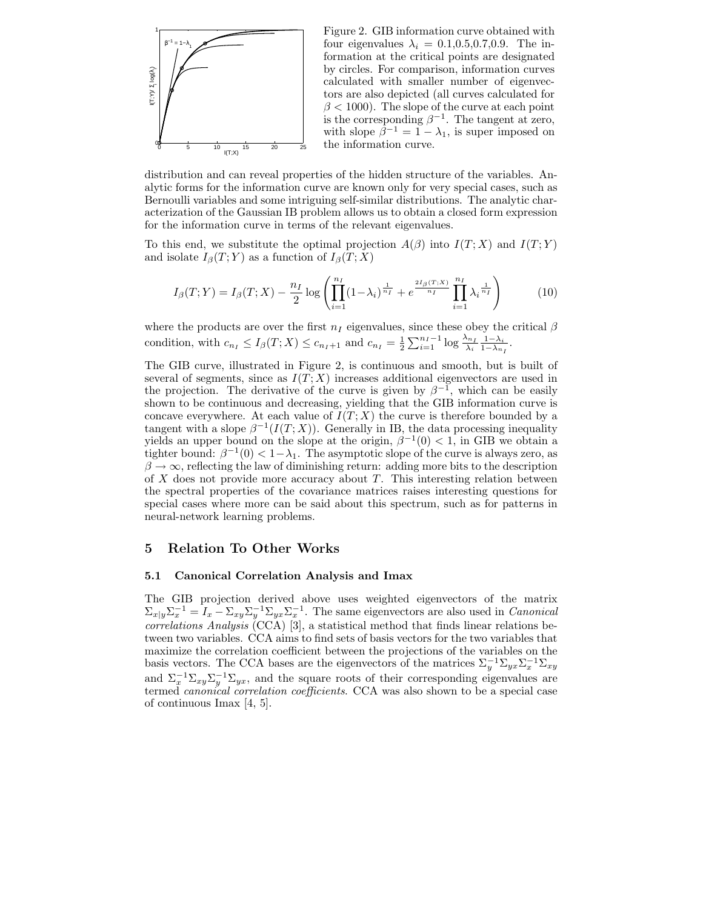

Figure 2. GIB information curve obtained with four eigenvalues  $\lambda_i = 0.1, 0.5, 0.7, 0.9$ . The information at the critical points are designated by circles. For comparison, information curves calculated with smaller number of eigenvectors are also depicted (all curves calculated for  $\beta$  < 1000). The slope of the curve at each point is the corresponding  $\beta^{-1}$ . The tangent at zero, with slope  $\beta^{-1} = 1 - \lambda_1$ , is super imposed on the information curve.

distribution and can reveal properties of the hidden structure of the variables. Analytic forms for the information curve are known only for very special cases, such as Bernoulli variables and some intriguing self-similar distributions. The analytic characterization of the Gaussian IB problem allows us to obtain a closed form expression for the information curve in terms of the relevant eigenvalues.

To this end, we substitute the optimal projection  $A(\beta)$  into  $I(T; X)$  and  $I(T; Y)$ and isolate  $I_{\beta}(T;Y)$  as a function of  $I_{\beta}(T;X)$ 

$$
I_{\beta}(T;Y) = I_{\beta}(T;X) - \frac{n_I}{2} \log \left( \prod_{i=1}^{n_I} (1-\lambda_i)^{\frac{1}{n_I}} + e^{\frac{2I_{\beta}(T;X)}{n_I}} \prod_{i=1}^{n_I} \lambda_i^{\frac{1}{n_I}} \right)
$$
(10)

where the products are over the first  $n_I$  eigenvalues, since these obey the critical  $\beta$ condition, with  $c_{n_I} \leq I_\beta(T; X) \leq c_{n_I+1}$  and  $c_{n_I} = \frac{1}{2} \sum_{i=1}^{n_I-1} \log \frac{\lambda_{n_I}}{\lambda_i} \frac{1-\lambda_i}{1-\lambda_{n_I}}$ .

The GIB curve, illustrated in Figure 2, is continuous and smooth, but is built of several of segments, since as  $I(T; X)$  increases additional eigenvectors are used in the projection. The derivative of the curve is given by  $\beta^{-1}$ , which can be easily shown to be continuous and decreasing, yielding that the GIB information curve is concave everywhere. At each value of  $\tilde{I}(T;X)$  the curve is therefore bounded by a tangent with a slope  $\beta^{-1}(I(T;X))$ . Generally in IB, the data processing inequality yields an upper bound on the slope at the origin,  $\beta^{-1}(0) < 1$ , in GIB we obtain a tighter bound:  $\beta^{-1}(0) < 1 - \lambda_1$ . The asymptotic slope of the curve is always zero, as  $\beta \rightarrow \infty$ , reflecting the law of diminishing return: adding more bits to the description of  $X$  does not provide more accuracy about  $T$ . This interesting relation between the spectral properties of the covariance matrices raises interesting questions for special cases where more can be said about this spectrum, such as for patterns in neural-network learning problems.

#### 5 Relation To Other Works

#### 5.1 Canonical Correlation Analysis and Imax

The GIB projection derived above uses weighted eigenvectors of the matrix  $\Sigma_{x|y}\Sigma_x^{-1} = I_x - \Sigma_{xy}\Sigma_y^{-1}\Sigma_{yx}\Sigma_x^{-1}$ . The same eigenvectors are also used in *Canonical*  $correlations$  Analysis  $\rm (CCA)$  [3], a statistical method that finds linear relations between two variables. CCA aims to find sets of basis vectors for the two variables that maximize the correlation coefficient between the projections of the variables on the basis vectors. The CCA bases are the eigenvectors of the matrices  $\Sigma_y^{-1} \Sigma_{yx} \Sigma_x^{-1} \Sigma_{xy}$ and  $\Sigma_x^{-1} \Sigma_{xy} \Sigma_y^{-1} \Sigma_{yx}$ , and the square roots of their corresponding eigenvalues are termed *canonical correlation coefficients*. CCA was also shown to be a special case of continuous Imax [4, 5].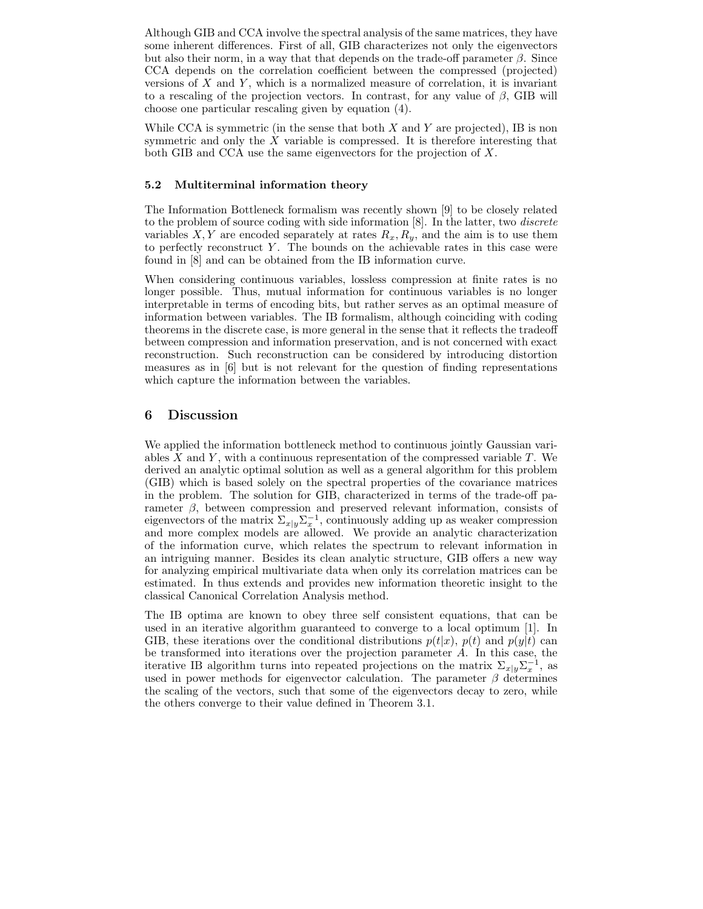Although GIB and CCA involve the spectral analysis of the same matrices, they have some inherent differences. First of all, GIB characterizes not only the eigenvectors but also their norm, in a way that that depends on the trade-off parameter  $\beta$ . Since CCA depends on the correlation coefficient between the compressed (projected) versions of  $X$  and  $Y$ , which is a normalized measure of correlation, it is invariant to a rescaling of the projection vectors. In contrast, for any value of  $\beta$ , GIB will choose one particular rescaling given by equation (4).

While CCA is symmetric (in the sense that both  $X$  and  $Y$  are projected), IB is non symmetric and only the  $X$  variable is compressed. It is therefore interesting that both GIB and CCA use the same eigenvectors for the projection of X.

#### 5.2 Multiterminal information theory

The Information Bottleneck formalism was recently shown [9] to be closely related to the problem of source coding with side information [8]. In the latter, two discrete variables  $X, Y$  are encoded separately at rates  $R_x, R_y$ , and the aim is to use them to perfectly reconstruct  $Y$ . The bounds on the achievable rates in this case were found in [8] and can be obtained from the IB information curve.

When considering continuous variables, lossless compression at finite rates is no longer possible. Thus, mutual information for continuous variables is no longer interpretable in terms of encoding bits, but rather serves as an optimal measure of information between variables. The IB formalism, although coinciding with coding theorems in the discrete case, is more general in the sense that it reflects the tradeoff between compression and information preservation, and is not concerned with exact reconstruction. Such reconstruction can be considered by introducing distortion measures as in [6] but is not relevant for the question of finding representations which capture the information between the variables.

## 6 Discussion

We applied the information bottleneck method to continuous jointly Gaussian variables X and Y, with a continuous representation of the compressed variable  $T$ . We derived an analytic optimal solution as well as a general algorithm for this problem (GIB) which is based solely on the spectral properties of the covariance matrices in the problem. The solution for GIB, characterized in terms of the trade-off parameter β, between compression and preserved relevant information, consists of eigenvectors of the matrix  $\Sigma_{x|y} \Sigma_x^{-1}$ , continuously adding up as weaker compression and more complex models are allowed. We provide an analytic characterization of the information curve, which relates the spectrum to relevant information in an intriguing manner. Besides its clean analytic structure, GIB offers a new way for analyzing empirical multivariate data when only its correlation matrices can be estimated. In thus extends and provides new information theoretic insight to the classical Canonical Correlation Analysis method.

The IB optima are known to obey three self consistent equations, that can be used in an iterative algorithm guaranteed to converge to a local optimum [1]. In GIB, these iterations over the conditional distributions  $p(t|x)$ ,  $p(t)$  and  $p(y|t)$  can be transformed into iterations over the projection parameter A. In this case, the iterative IB algorithm turns into repeated projections on the matrix  $\Sigma_{x|y} \Sigma_x^{-1}$ , as used in power methods for eigenvector calculation. The parameter  $\beta$  determines the scaling of the vectors, such that some of the eigenvectors decay to zero, while the others converge to their value defined in Theorem 3.1.